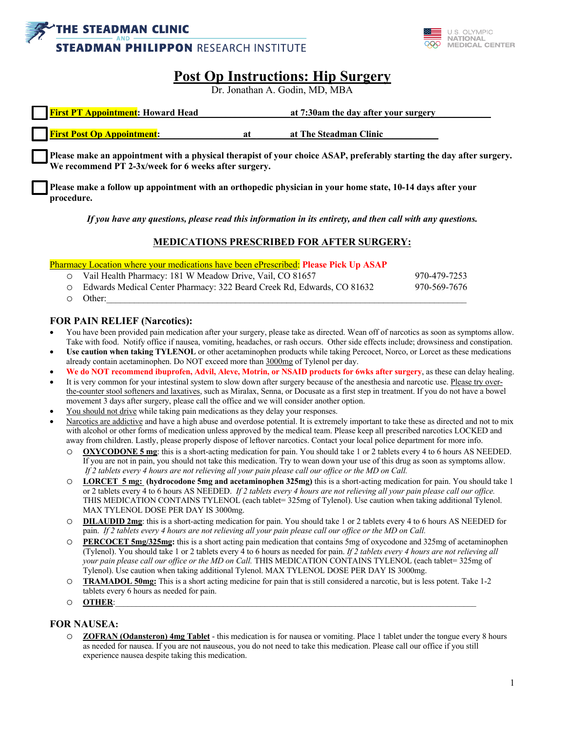



# **Post Op Instructions: Hip Surgery**

Dr. Jonathan A. Godin, MD, MBA

| <b>First PT Appointment:</b> Howard Head |    | at 7:30am the day after your surgery |  |
|------------------------------------------|----|--------------------------------------|--|
| <b>First Post Op Appointment:</b>        | a1 | at The Steadman Clinic               |  |

**Please make an appointment with a physical therapist of your choice ASAP, preferably starting the day after surgery. We recommend PT 2-3x/week for 6 weeks after surgery.**

**Please make a follow up appointment with an orthopedic physician in your home state, 10-14 days after your procedure.**

*If you have any questions, please read this information in its entirety, and then call with any questions.*

## **MEDICATIONS PRESCRIBED FOR AFTER SURGERY:**

Pharmacy Location where your medications have been ePrescribed: **Please Pick Up ASAP**

| O Vail Health Pharmacy: 181 W Meadow Drive, Vail, CO 81657               | 970-479-7253 |
|--------------------------------------------------------------------------|--------------|
| O Edwards Medical Center Pharmacy: 322 Beard Creek Rd, Edwards, CO 81632 | 970-569-7676 |
| $\circ$ Other:                                                           |              |

#### **FOR PAIN RELIEF (Narcotics):**

- You have been provided pain medication after your surgery, please take as directed. Wean off of narcotics as soon as symptoms allow. Take with food. Notify office if nausea, vomiting, headaches, or rash occurs. Other side effects include; drowsiness and constipation.
- **Use caution when taking TYLENOL** or other acetaminophen products while taking Percocet, Norco, or Lorcet as these medications already contain acetaminophen. Do NOT exceed more than 3000mg of Tylenol per day.
- **We do NOT recommend ibuprofen, Advil, Aleve, Motrin, or NSAID products for 6wks after surgery**, as these can delay healing.
- It is very common for your intestinal system to slow down after surgery because of the anesthesia and narcotic use. Please try overthe-counter stool softeners and laxatives, such as Miralax, Senna, or Docusate as a first step in treatment. If you do not have a bowel movement 3 days after surgery, please call the office and we will consider another option.
- You should not drive while taking pain medications as they delay your responses.
- Narcotics are addictive and have a high abuse and overdose potential. It is extremely important to take these as directed and not to mix with alcohol or other forms of medication unless approved by the medical team. Please keep all prescribed narcotics LOCKED and away from children. Lastly, please properly dispose of leftover narcotics. Contact your local police department for more info.
	- o **OXYCODONE 5 mg**: this is a short-acting medication for pain. You should take 1 or 2 tablets every 4 to 6 hours AS NEEDED. If you are not in pain, you should not take this medication. Try to wean down your use of this drug as soon as symptoms allow. *If 2 tablets every 4 hours are not relieving all your pain please call our office or the MD on Call.*
	- o **LORCET 5 mg: (hydrocodone 5mg and acetaminophen 325mg)** this is a short-acting medication for pain. You should take 1 or 2 tablets every 4 to 6 hours AS NEEDED. *If 2 tablets every 4 hours are not relieving all your pain please call our office.*  THIS MEDICATION CONTAINS TYLENOL (each tablet= 325mg of Tylenol). Use caution when taking additional Tylenol. MAX TYLENOL DOSE PER DAY IS 3000mg.
	- **DILAUDID 2mg**: this is a short-acting medication for pain. You should take 1 or 2 tablets every 4 to 6 hours AS NEEDED for pain. *If 2 tablets every 4 hours are not relieving all your pain please call our office or the MD on Call.*
	- o **PERCOCET 5mg/325mg:** this is a short acting pain medication that contains 5mg of oxycodone and 325mg of acetaminophen (Tylenol). You should take 1 or 2 tablets every 4 to 6 hours as needed for pain. *If 2 tablets every 4 hours are not relieving all your pain please call our office or the MD on Call.* THIS MEDICATION CONTAINS TYLENOL (each tablet= 325mg of Tylenol). Use caution when taking additional Tylenol. MAX TYLENOL DOSE PER DAY IS 3000mg.
	- o **TRAMADOL 50mg:** This is a short acting medicine for pain that is still considered a narcotic, but is less potent. Take 1-2 tablets every 6 hours as needed for pain.
	- o **OTHER**:\_\_\_\_\_\_\_\_\_\_\_\_\_\_\_\_\_\_\_\_\_\_\_\_\_\_\_\_\_\_\_\_\_\_\_\_\_\_\_\_\_\_\_\_\_\_\_\_\_\_\_\_\_\_\_\_\_\_\_\_\_\_\_\_\_\_\_\_\_\_\_\_\_\_\_\_\_\_\_\_\_\_\_\_\_\_\_

## **FOR NAUSEA:**

o **ZOFRAN (Odansteron) 4mg Tablet** - this medication is for nausea or vomiting. Place 1 tablet under the tongue every 8 hours as needed for nausea. If you are not nauseous, you do not need to take this medication. Please call our office if you still experience nausea despite taking this medication.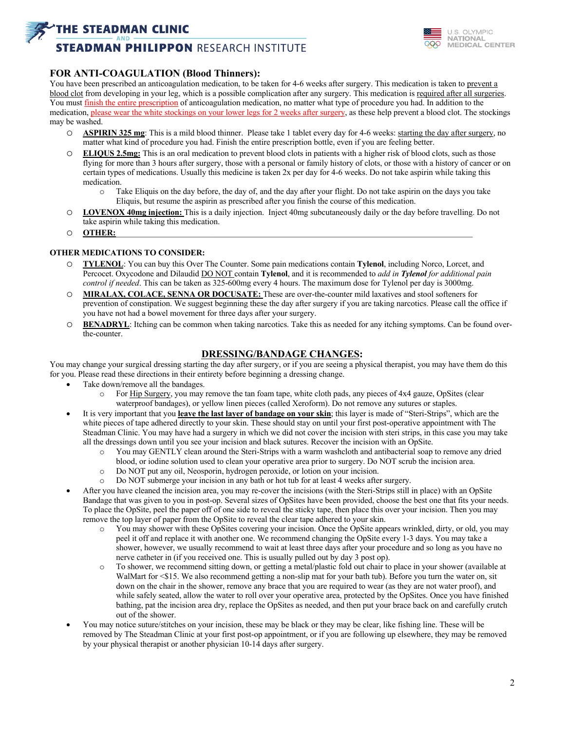## **THE STEADMAN CLINIC**

# **STEADMAN PHILIPPON RESEARCH INSTITUTE**



### **FOR ANTI-COAGULATION (Blood Thinners):**

You have been prescribed an anticoagulation medication, to be taken for 4-6 weeks after surgery. This medication is taken to prevent a blood clot from developing in your leg, which is a possible complication after any surgery. This medication is required after all surgeries. You must finish the entire prescription of anticoagulation medication, no matter what type of procedure you had. In addition to the medication, please wear the white stockings on your lower legs for 2 weeks after surgery, as these help prevent a blood clot. The stockings may be washed.

- o **ASPIRIN 325 mg**: This is a mild blood thinner. Please take 1 tablet every day for 4-6 weeks: starting the day after surgery, no matter what kind of procedure you had. Finish the entire prescription bottle, even if you are feeling better.
- o **ELIQUS 2.5mg:** This is an oral medication to prevent blood clots in patients with a higher risk of blood clots, such as those flying for more than 3 hours after surgery, those with a personal or family history of clots, or those with a history of cancer or on certain types of medications. Usually this medicine is taken 2x per day for 4-6 weeks. Do not take aspirin while taking this medication.
	- o Take Eliquis on the day before, the day of, and the day after your flight. Do not take aspirin on the days you take Eliquis, but resume the aspirin as prescribed after you finish the course of this medication.
- o **LOVENOX 40mg injection:** This is a daily injection. Inject 40mg subcutaneously daily or the day before travelling. Do not take aspirin while taking this medication.
- o **OTHER:**\_\_\_\_\_\_\_\_\_\_\_\_\_\_\_\_\_\_\_\_\_\_\_\_\_\_\_\_\_\_\_\_\_\_\_\_\_\_\_\_\_\_\_\_\_\_\_\_\_\_\_\_\_\_\_\_\_\_\_\_\_\_\_\_\_\_\_\_\_\_\_\_\_\_\_\_\_\_\_\_\_\_\_\_\_\_

#### **OTHER MEDICATIONS TO CONSIDER:**

- o **TYLENOL**: You can buy this Over The Counter. Some pain medications contain **Tylenol**, including Norco, Lorcet, and Percocet. Oxycodone and Dilaudid DO NOT contain **Tylenol**, and it is recommended to *add in Tylenol for additional pain control if needed*. This can be taken as 325-600mg every 4 hours. The maximum dose for Tylenol per day is 3000mg.
- o **MIRALAX, COLACE, SENNA OR DOCUSATE:** These are over-the-counter mild laxatives and stool softeners for prevention of constipation. We suggest beginning these the day after surgery if you are taking narcotics. Please call the office if you have not had a bowel movement for three days after your surgery.
- o **BENADRYL**: Itching can be common when taking narcotics. Take this as needed for any itching symptoms. Can be found overthe-counter.

#### **DRESSING/BANDAGE CHANGES:**

You may change your surgical dressing starting the day after surgery, or if you are seeing a physical therapist, you may have them do this for you. Please read these directions in their entirety before beginning a dressing change.

- Take down/remove all the bandages.
	- For Hip Surgery, you may remove the tan foam tape, white cloth pads, any pieces of 4x4 gauze, OpSites (clear waterproof bandages), or yellow linen pieces (called Xeroform). Do not remove any sutures or staples.
- It is very important that you **leave the last layer of bandage on your skin**; this layer is made of "Steri-Strips", which are the white pieces of tape adhered directly to your skin. These should stay on until your first post-operative appointment with The Steadman Clinic. You may have had a surgery in which we did not cover the incision with steri strips, in this case you may take all the dressings down until you see your incision and black sutures. Recover the incision with an OpSite.
	- o You may GENTLY clean around the Steri-Strips with a warm washcloth and antibacterial soap to remove any dried blood, or iodine solution used to clean your operative area prior to surgery. Do NOT scrub the incision area.
	- o Do NOT put any oil, Neosporin, hydrogen peroxide, or lotion on your incision.
	- o Do NOT submerge your incision in any bath or hot tub for at least 4 weeks after surgery.
- After you have cleaned the incision area, you may re-cover the incisions (with the Steri-Strips still in place) with an OpSite Bandage that was given to you in post-op. Several sizes of OpSites have been provided, choose the best one that fits your needs. To place the OpSite, peel the paper off of one side to reveal the sticky tape, then place this over your incision. Then you may remove the top layer of paper from the OpSite to reveal the clear tape adhered to your skin.
	- o You may shower with these OpSites covering your incision. Once the OpSite appears wrinkled, dirty, or old, you may peel it off and replace it with another one. We recommend changing the OpSite every 1-3 days. You may take a shower, however, we usually recommend to wait at least three days after your procedure and so long as you have no nerve catheter in (if you received one. This is usually pulled out by day 3 post op).
	- o To shower, we recommend sitting down, or getting a metal/plastic fold out chair to place in your shower (available at WalMart for <\$15. We also recommend getting a non-slip mat for your bath tub). Before you turn the water on, sit down on the chair in the shower, remove any brace that you are required to wear (as they are not water proof), and while safely seated, allow the water to roll over your operative area, protected by the OpSites. Once you have finished bathing, pat the incision area dry, replace the OpSites as needed, and then put your brace back on and carefully crutch out of the shower.
- You may notice suture/stitches on your incision, these may be black or they may be clear, like fishing line. These will be removed by The Steadman Clinic at your first post-op appointment, or if you are following up elsewhere, they may be removed by your physical therapist or another physician 10-14 days after surgery.